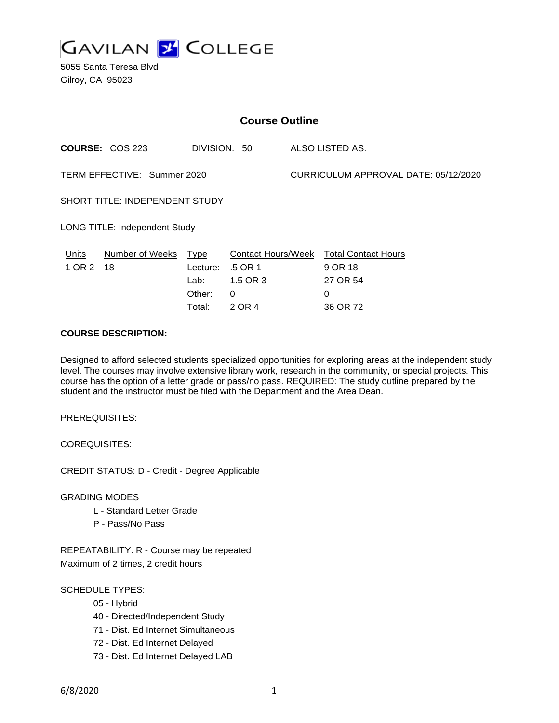

5055 Santa Teresa Blvd Gilroy, CA 95023

| <b>Course Outline</b>                |                                                                                          |              |          |                                       |                 |
|--------------------------------------|------------------------------------------------------------------------------------------|--------------|----------|---------------------------------------|-----------------|
|                                      | <b>COURSE: COS 223</b>                                                                   | DIVISION: 50 |          |                                       | ALSO LISTED AS: |
| TERM EFFECTIVE: Summer 2020          |                                                                                          |              |          | CURRICULUM APPROVAL DATE: 05/12/2020  |                 |
| SHORT TITLE: INDEPENDENT STUDY       |                                                                                          |              |          |                                       |                 |
| <b>LONG TITLE: Independent Study</b> |                                                                                          |              |          |                                       |                 |
| Units<br>1 OR 2                      | Number of Weeks<br><b>Contact Hours/Week</b><br><b>Type</b><br>18<br>.5 OR 1<br>Lecture: |              |          | <b>Total Contact Hours</b><br>9 OR 18 |                 |
|                                      |                                                                                          | Lab:         | 1.5 OR 3 |                                       | 27 OR 54        |
|                                      |                                                                                          | Other:       | 0        |                                       | 0               |
|                                      |                                                                                          | Total:       | 2 OR 4   |                                       | 36 OR 72        |

### **COURSE DESCRIPTION:**

Designed to afford selected students specialized opportunities for exploring areas at the independent study level. The courses may involve extensive library work, research in the community, or special projects. This course has the option of a letter grade or pass/no pass. REQUIRED: The study outline prepared by the student and the instructor must be filed with the Department and the Area Dean.

PREREQUISITES:

COREQUISITES:

CREDIT STATUS: D - Credit - Degree Applicable

GRADING MODES

- L Standard Letter Grade
- P Pass/No Pass

REPEATABILITY: R - Course may be repeated Maximum of 2 times, 2 credit hours

SCHEDULE TYPES:

- 05 Hybrid
- 40 Directed/Independent Study
- 71 Dist. Ed Internet Simultaneous
- 72 Dist. Ed Internet Delayed
- 73 Dist. Ed Internet Delayed LAB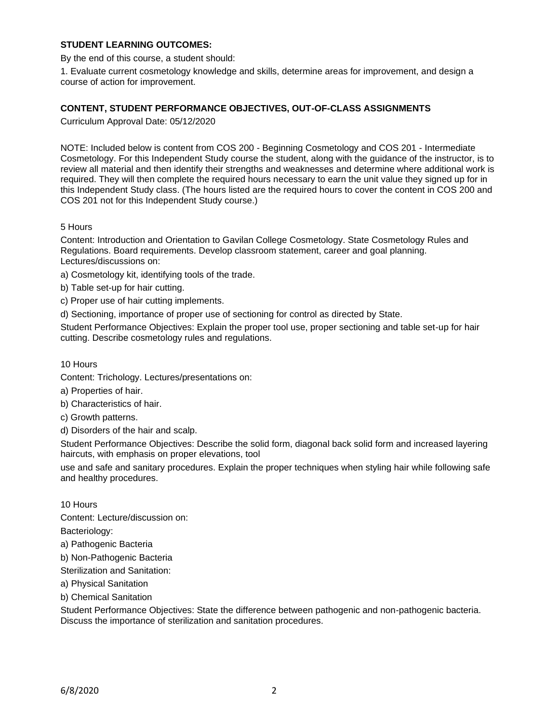## **STUDENT LEARNING OUTCOMES:**

By the end of this course, a student should:

1. Evaluate current cosmetology knowledge and skills, determine areas for improvement, and design a course of action for improvement.

### **CONTENT, STUDENT PERFORMANCE OBJECTIVES, OUT-OF-CLASS ASSIGNMENTS**

Curriculum Approval Date: 05/12/2020

NOTE: Included below is content from COS 200 - Beginning Cosmetology and COS 201 - Intermediate Cosmetology. For this Independent Study course the student, along with the guidance of the instructor, is to review all material and then identify their strengths and weaknesses and determine where additional work is required. They will then complete the required hours necessary to earn the unit value they signed up for in this Independent Study class. (The hours listed are the required hours to cover the content in COS 200 and COS 201 not for this Independent Study course.)

### 5 Hours

Content: Introduction and Orientation to Gavilan College Cosmetology. State Cosmetology Rules and Regulations. Board requirements. Develop classroom statement, career and goal planning. Lectures/discussions on:

a) Cosmetology kit, identifying tools of the trade.

b) Table set-up for hair cutting.

c) Proper use of hair cutting implements.

d) Sectioning, importance of proper use of sectioning for control as directed by State.

Student Performance Objectives: Explain the proper tool use, proper sectioning and table set-up for hair cutting. Describe cosmetology rules and regulations.

10 Hours

Content: Trichology. Lectures/presentations on:

a) Properties of hair.

b) Characteristics of hair.

c) Growth patterns.

d) Disorders of the hair and scalp.

Student Performance Objectives: Describe the solid form, diagonal back solid form and increased layering haircuts, with emphasis on proper elevations, tool

use and safe and sanitary procedures. Explain the proper techniques when styling hair while following safe and healthy procedures.

10 Hours

Content: Lecture/discussion on:

Bacteriology:

a) Pathogenic Bacteria

b) Non-Pathogenic Bacteria

Sterilization and Sanitation:

a) Physical Sanitation

b) Chemical Sanitation

Student Performance Objectives: State the difference between pathogenic and non-pathogenic bacteria. Discuss the importance of sterilization and sanitation procedures.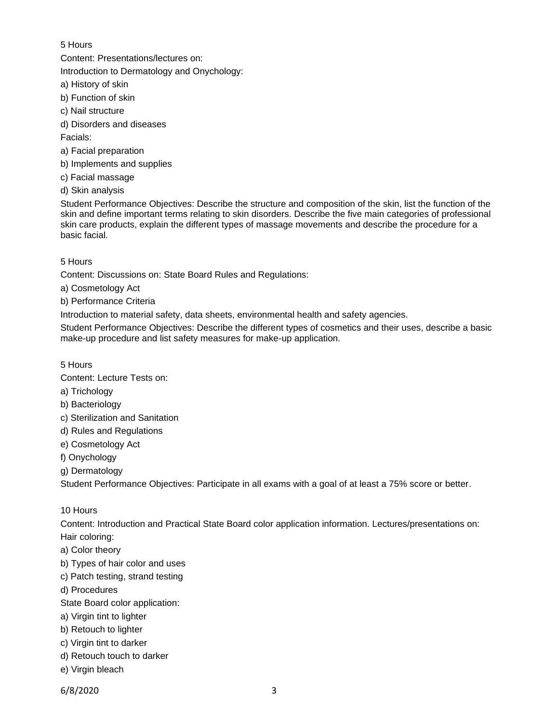## 5 Hours

Content: Presentations/lectures on:

Introduction to Dermatology and Onychology:

- a) History of skin
- b) Function of skin
- c) Nail structure
- d) Disorders and diseases

Facials:

- a) Facial preparation
- b) Implements and supplies
- c) Facial massage
- d) Skin analysis

Student Performance Objectives: Describe the structure and composition of the skin, list the function of the skin and define important terms relating to skin disorders. Describe the five main categories of professional skin care products, explain the different types of massage movements and describe the procedure for a basic facial.

# 5 Hours

Content: Discussions on: State Board Rules and Regulations:

- a) Cosmetology Act
- b) Performance Criteria

Introduction to material safety, data sheets, environmental health and safety agencies.

Student Performance Objectives: Describe the different types of cosmetics and their uses, describe a basic make-up procedure and list safety measures for make-up application.

# 5 Hours

Content: Lecture Tests on:

- a) Trichology
- b) Bacteriology
- c) Sterilization and Sanitation
- d) Rules and Regulations
- e) Cosmetology Act
- f) Onychology
- g) Dermatology

Student Performance Objectives: Participate in all exams with a goal of at least a 75% score or better.

# 10 Hours

Content: Introduction and Practical State Board color application information. Lectures/presentations on: Hair coloring:

- a) Color theory
- b) Types of hair color and uses
- c) Patch testing, strand testing
- d) Procedures
- State Board color application:
- a) Virgin tint to lighter
- b) Retouch to lighter
- c) Virgin tint to darker
- d) Retouch touch to darker
- e) Virgin bleach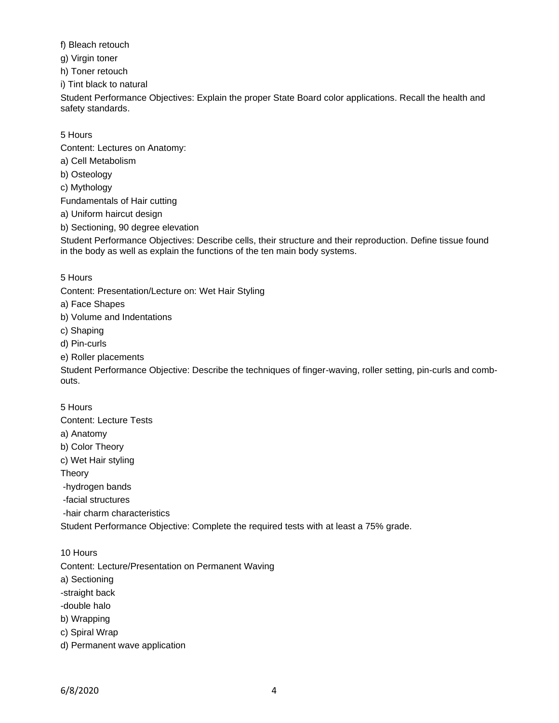f) Bleach retouch

g) Virgin toner

h) Toner retouch

i) Tint black to natural

Student Performance Objectives: Explain the proper State Board color applications. Recall the health and safety standards.

# 5 Hours

Content: Lectures on Anatomy:

- a) Cell Metabolism
- b) Osteology
- c) Mythology

Fundamentals of Hair cutting

a) Uniform haircut design

b) Sectioning, 90 degree elevation

Student Performance Objectives: Describe cells, their structure and their reproduction. Define tissue found in the body as well as explain the functions of the ten main body systems.

# 5 Hours

Content: Presentation/Lecture on: Wet Hair Styling

- a) Face Shapes
- b) Volume and Indentations
- c) Shaping
- d) Pin-curls
- e) Roller placements

Student Performance Objective: Describe the techniques of finger-waving, roller setting, pin-curls and combouts.

# 5 Hours

Content: Lecture Tests

- a) Anatomy
- b) Color Theory
- c) Wet Hair styling

Theory

- -hydrogen bands
- -facial structures
- -hair charm characteristics

Student Performance Objective: Complete the required tests with at least a 75% grade.

10 Hours

Content: Lecture/Presentation on Permanent Waving

- a) Sectioning
- -straight back
- -double halo
- b) Wrapping
- c) Spiral Wrap
- d) Permanent wave application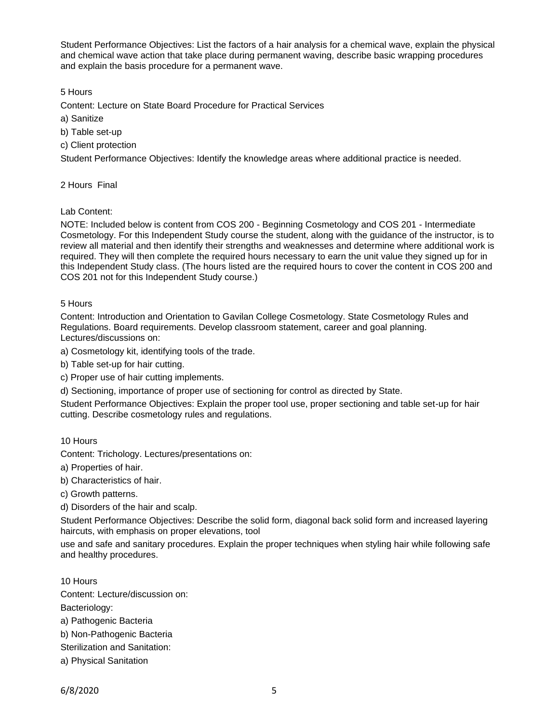Student Performance Objectives: List the factors of a hair analysis for a chemical wave, explain the physical and chemical wave action that take place during permanent waving, describe basic wrapping procedures and explain the basis procedure for a permanent wave.

5 Hours

Content: Lecture on State Board Procedure for Practical Services

- a) Sanitize
- b) Table set-up
- c) Client protection

Student Performance Objectives: Identify the knowledge areas where additional practice is needed.

2 Hours Final

Lab Content:

NOTE: Included below is content from COS 200 - Beginning Cosmetology and COS 201 - Intermediate Cosmetology. For this Independent Study course the student, along with the guidance of the instructor, is to review all material and then identify their strengths and weaknesses and determine where additional work is required. They will then complete the required hours necessary to earn the unit value they signed up for in this Independent Study class. (The hours listed are the required hours to cover the content in COS 200 and COS 201 not for this Independent Study course.)

### 5 Hours

Content: Introduction and Orientation to Gavilan College Cosmetology. State Cosmetology Rules and Regulations. Board requirements. Develop classroom statement, career and goal planning. Lectures/discussions on:

a) Cosmetology kit, identifying tools of the trade.

- b) Table set-up for hair cutting.
- c) Proper use of hair cutting implements.

d) Sectioning, importance of proper use of sectioning for control as directed by State.

Student Performance Objectives: Explain the proper tool use, proper sectioning and table set-up for hair cutting. Describe cosmetology rules and regulations.

#### 10 Hours

Content: Trichology. Lectures/presentations on:

a) Properties of hair.

b) Characteristics of hair.

c) Growth patterns.

d) Disorders of the hair and scalp.

Student Performance Objectives: Describe the solid form, diagonal back solid form and increased layering haircuts, with emphasis on proper elevations, tool

use and safe and sanitary procedures. Explain the proper techniques when styling hair while following safe and healthy procedures.

10 Hours

Content: Lecture/discussion on:

Bacteriology:

a) Pathogenic Bacteria

b) Non-Pathogenic Bacteria

Sterilization and Sanitation:

a) Physical Sanitation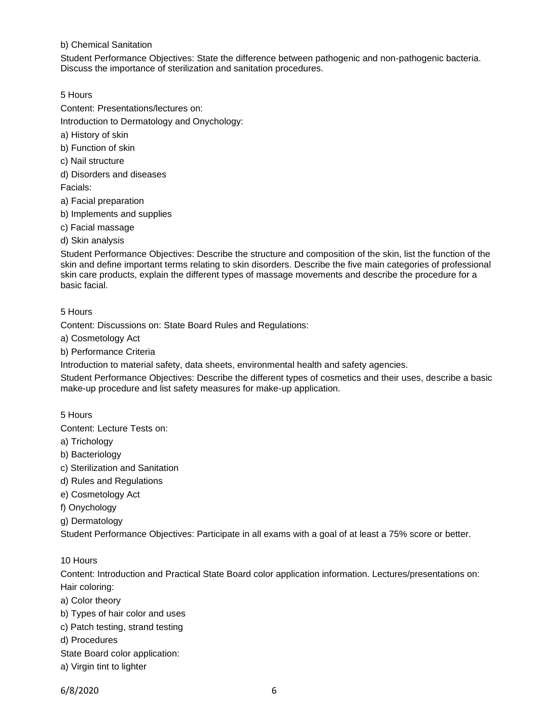### b) Chemical Sanitation

Student Performance Objectives: State the difference between pathogenic and non-pathogenic bacteria. Discuss the importance of sterilization and sanitation procedures.

5 Hours

Content: Presentations/lectures on:

Introduction to Dermatology and Onychology:

a) History of skin

b) Function of skin

c) Nail structure

d) Disorders and diseases

Facials:

a) Facial preparation

b) Implements and supplies

c) Facial massage

d) Skin analysis

Student Performance Objectives: Describe the structure and composition of the skin, list the function of the skin and define important terms relating to skin disorders. Describe the five main categories of professional skin care products, explain the different types of massage movements and describe the procedure for a basic facial.

### 5 Hours

Content: Discussions on: State Board Rules and Regulations:

a) Cosmetology Act

b) Performance Criteria

Introduction to material safety, data sheets, environmental health and safety agencies.

Student Performance Objectives: Describe the different types of cosmetics and their uses, describe a basic make-up procedure and list safety measures for make-up application.

5 Hours

Content: Lecture Tests on:

a) Trichology

- b) Bacteriology
- c) Sterilization and Sanitation
- d) Rules and Regulations
- e) Cosmetology Act

f) Onychology

g) Dermatology

Student Performance Objectives: Participate in all exams with a goal of at least a 75% score or better.

10 Hours

Content: Introduction and Practical State Board color application information. Lectures/presentations on: Hair coloring:

- a) Color theory
- b) Types of hair color and uses

c) Patch testing, strand testing

d) Procedures

- State Board color application:
- a) Virgin tint to lighter

6/8/2020 6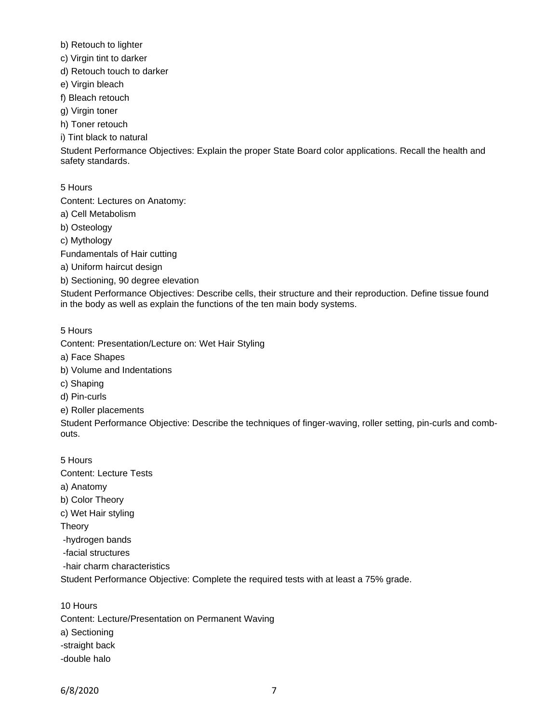- b) Retouch to lighter
- c) Virgin tint to darker
- d) Retouch touch to darker
- e) Virgin bleach
- f) Bleach retouch
- g) Virgin toner
- h) Toner retouch
- i) Tint black to natural

Student Performance Objectives: Explain the proper State Board color applications. Recall the health and safety standards.

5 Hours

Content: Lectures on Anatomy:

- a) Cell Metabolism
- b) Osteology
- c) Mythology

Fundamentals of Hair cutting

- a) Uniform haircut design
- b) Sectioning, 90 degree elevation

Student Performance Objectives: Describe cells, their structure and their reproduction. Define tissue found in the body as well as explain the functions of the ten main body systems.

## 5 Hours

Content: Presentation/Lecture on: Wet Hair Styling

- a) Face Shapes
- b) Volume and Indentations
- c) Shaping
- d) Pin-curls
- e) Roller placements

Student Performance Objective: Describe the techniques of finger-waving, roller setting, pin-curls and combouts.

5 Hours Content: Lecture Tests a) Anatomy b) Color Theory c) Wet Hair styling Theory -hydrogen bands -facial structures -hair charm characteristics Student Performance Objective: Complete the required tests with at least a 75% grade.

10 Hours Content: Lecture/Presentation on Permanent Waving a) Sectioning -straight back -double halo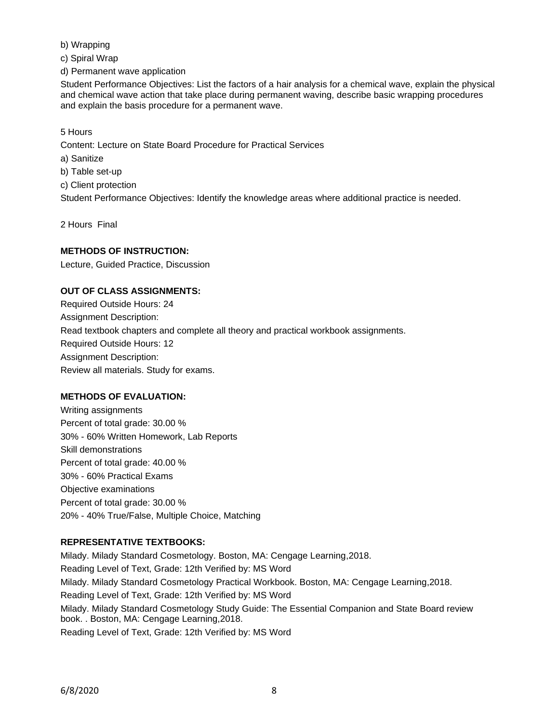b) Wrapping

c) Spiral Wrap

d) Permanent wave application

Student Performance Objectives: List the factors of a hair analysis for a chemical wave, explain the physical and chemical wave action that take place during permanent waving, describe basic wrapping procedures and explain the basis procedure for a permanent wave.

5 Hours

Content: Lecture on State Board Procedure for Practical Services

a) Sanitize

b) Table set-up

c) Client protection

Student Performance Objectives: Identify the knowledge areas where additional practice is needed.

2 Hours Final

## **METHODS OF INSTRUCTION:**

Lecture, Guided Practice, Discussion

## **OUT OF CLASS ASSIGNMENTS:**

Required Outside Hours: 24 Assignment Description: Read textbook chapters and complete all theory and practical workbook assignments. Required Outside Hours: 12 Assignment Description: Review all materials. Study for exams.

# **METHODS OF EVALUATION:**

Writing assignments Percent of total grade: 30.00 % 30% - 60% Written Homework, Lab Reports Skill demonstrations Percent of total grade: 40.00 % 30% - 60% Practical Exams Objective examinations Percent of total grade: 30.00 % 20% - 40% True/False, Multiple Choice, Matching

# **REPRESENTATIVE TEXTBOOKS:**

Milady. Milady Standard Cosmetology. Boston, MA: Cengage Learning,2018. Reading Level of Text, Grade: 12th Verified by: MS Word Milady. Milady Standard Cosmetology Practical Workbook. Boston, MA: Cengage Learning,2018. Reading Level of Text, Grade: 12th Verified by: MS Word Milady. Milady Standard Cosmetology Study Guide: The Essential Companion and State Board review book. . Boston, MA: Cengage Learning,2018. Reading Level of Text, Grade: 12th Verified by: MS Word